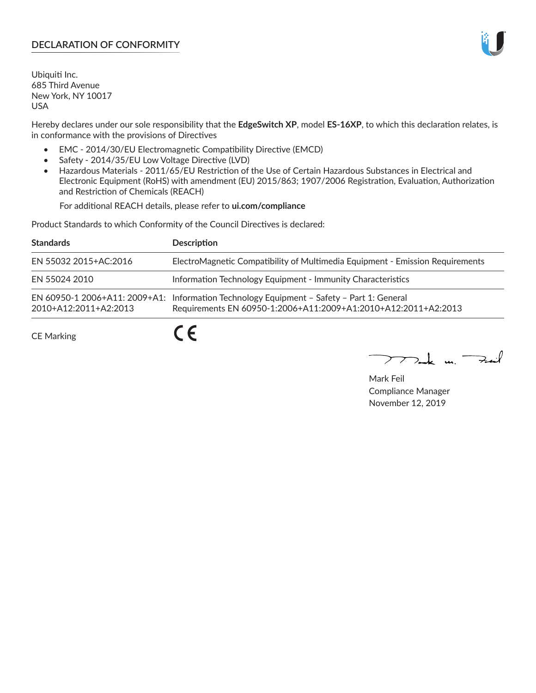# **DECLARATION OF CONFORMITY**

Ubiquiti Inc. 685 Third Avenue New York, NY 10017 USA

Hereby declares under our sole responsibility that the **EdgeSwitch XP**, model **ES-16XP**, to which this declaration relates, is in conformance with the provisions of Directives

- EMC 2014/30/EU Electromagnetic Compatibility Directive (EMCD)
- Safety 2014/35/EU Low Voltage Directive (LVD)
- Hazardous Materials 2011/65/EU Restriction of the Use of Certain Hazardous Substances in Electrical and Electronic Equipment (RoHS) with amendment (EU) 2015/863; 1907/2006 Registration, Evaluation, Authorization and Restriction of Chemicals (REACH)

For additional REACH details, please refer to **ui.com/compliance**

Product Standards to which Conformity of the Council Directives is declared:

| <b>Standards</b>      | <b>Description</b>                                                                                                                                          |
|-----------------------|-------------------------------------------------------------------------------------------------------------------------------------------------------------|
| EN 55032 2015+AC:2016 | ElectroMagnetic Compatibility of Multimedia Equipment - Emission Requirements                                                                               |
| EN 55024 2010         | Information Technology Equipment - Immunity Characteristics                                                                                                 |
| 2010+A12:2011+A2:2013 | EN 60950-1 2006+A11: 2009+A1: Information Technology Equipment - Safety - Part 1: General<br>Requirements EN 60950-1:2006+A11:2009+A1:2010+A12:2011+A2:2013 |
| <b>CE Marking</b>     |                                                                                                                                                             |

 $\nabla$ ak m.  $\rightarrow$  $\overline{\smash{\rightarrow}}$ 

Mark Feil Compliance Manager November 12, 2019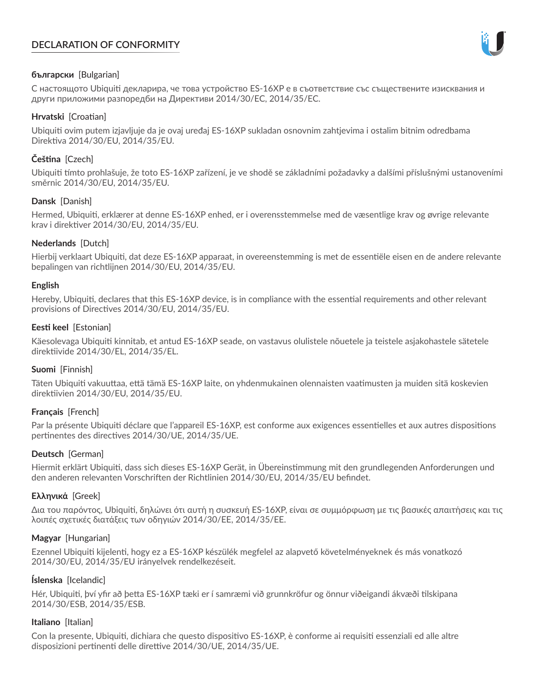# **DECLARATION OF CONFORMITY**



## **български** [Bulgarian]

С настоящото Ubiquiti декларира, че това устройство ES-16XP е в съответствие със съществените изисквания и други приложими разпоредби на Директиви 2014/30/ЕС, 2014/35/ЕС.

## **Hrvatski** [Croatian]

Ubiquiti ovim putem izjavljuje da je ovaj uređaj ES-16XP sukladan osnovnim zahtjevima i ostalim bitnim odredbama Direktiva 2014/30/EU, 2014/35/EU.

# **Čeština** [Czech]

Ubiquiti tímto prohlašuje, že toto ES-16XP zařízení, je ve shodě se základními požadavky a dalšími příslušnými ustanoveními směrnic 2014/30/EU, 2014/35/EU.

# **Dansk** [Danish]

Hermed, Ubiquiti, erklærer at denne ES-16XP enhed, er i overensstemmelse med de væsentlige krav og øvrige relevante krav i direktiver 2014/30/EU, 2014/35/EU.

# **Nederlands** [Dutch]

Hierbij verklaart Ubiquiti, dat deze ES-16XP apparaat, in overeenstemming is met de essentiële eisen en de andere relevante bepalingen van richtlijnen 2014/30/EU, 2014/35/EU.

## **English**

Hereby, Ubiquiti, declares that this ES-16XP device, is in compliance with the essential requirements and other relevant provisions of Directives 2014/30/EU, 2014/35/EU.

# **Eesti keel** [Estonian]

Käesolevaga Ubiquiti kinnitab, et antud ES-16XP seade, on vastavus olulistele nõuetele ja teistele asjakohastele sätetele direktiivide 2014/30/EL, 2014/35/EL.

## **Suomi** [Finnish]

Täten Ubiquiti vakuuttaa, että tämä ES-16XP laite, on yhdenmukainen olennaisten vaatimusten ja muiden sitä koskevien direktiivien 2014/30/EU, 2014/35/EU.

## **Français** [French]

Par la présente Ubiquiti déclare que l'appareil ES-16XP, est conforme aux exigences essentielles et aux autres dispositions pertinentes des directives 2014/30/UE, 2014/35/UE.

## **Deutsch** [German]

Hiermit erklärt Ubiquiti, dass sich dieses ES-16XP Gerät, in Übereinstimmung mit den grundlegenden Anforderungen und den anderen relevanten Vorschriften der Richtlinien 2014/30/EU, 2014/35/EU befindet.

## **Ελληνικά** [Greek]

Δια του παρόντος, Ubiquiti, δηλώνει ότι αυτή η συσκευή ES-16XP, είναι σε συμμόρφωση με τις βασικές απαιτήσεις και τις λοιπές σχετικές διατάξεις των οδηγιών 2014/30/EE, 2014/35/EE.

## **Magyar** [Hungarian]

Ezennel Ubiquiti kijelenti, hogy ez a ES-16XP készülék megfelel az alapvető követelményeknek és más vonatkozó 2014/30/EU, 2014/35/EU irányelvek rendelkezéseit.

## **Íslenska** [Icelandic]

Hér, Ubiquiti, því yfir að þetta ES-16XP tæki er í samræmi við grunnkröfur og önnur viðeigandi ákvæði tilskipana 2014/30/ESB, 2014/35/ESB.

## **Italiano** [Italian]

Con la presente, Ubiquiti, dichiara che questo dispositivo ES-16XP, è conforme ai requisiti essenziali ed alle altre disposizioni pertinenti delle direttive 2014/30/UE, 2014/35/UE.